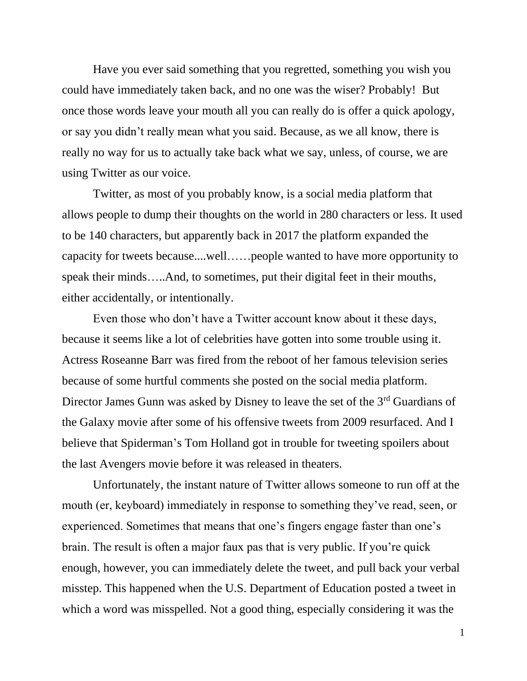Have you ever said something that you regretted, something you wish you could have immediately taken back, and no one was the wiser? Probably! But once those words leave your mouth all you can really do is offer a quick apology, or say you didn't really mean what you said. Because, as we all know, there is really no way for us to actually take back what we say, unless, of course, we are using Twitter as our voice.

Twitter, as most of you probably know, is a social media platform that allows people to dump their thoughts on the world in 280 characters or less. It used to be 140 characters, but apparently back in 2017 the platform expanded the capacity for tweets because....well……people wanted to have more opportunity to speak their minds…..And, to sometimes, put their digital feet in their mouths, either accidentally, or intentionally.

Even those who don't have a Twitter account know about it these days, because it seems like a lot of celebrities have gotten into some trouble using it. Actress Roseanne Barr was fired from the reboot of her famous television series because of some hurtful comments she posted on the social media platform. Director James Gunn was asked by Disney to leave the set of the 3rd Guardians of the Galaxy movie after some of his offensive tweets from 2009 resurfaced. And I believe that Spiderman's Tom Holland got in trouble for tweeting spoilers about the last Avengers movie before it was released in theaters.

Unfortunately, the instant nature of Twitter allows someone to run off at the mouth (er, keyboard) immediately in response to something they've read, seen, or experienced. Sometimes that means that one's fingers engage faster than one's brain. The result is often a major faux pas that is very public. If you're quick enough, however, you can immediately delete the tweet, and pull back your verbal misstep. This happened when the U.S. Department of Education posted a tweet in which a word was misspelled. Not a good thing, especially considering it was the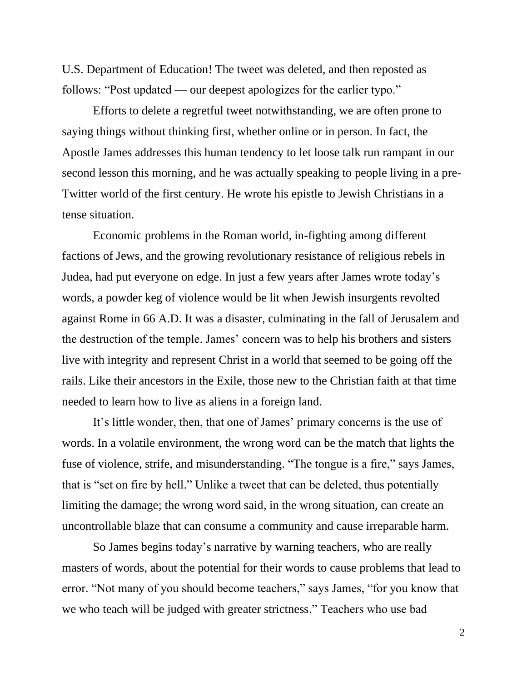U.S. Department of Education! The tweet was deleted, and then reposted as follows: "Post updated — our deepest apologizes for the earlier typo."

Efforts to delete a regretful tweet notwithstanding, we are often prone to saying things without thinking first, whether online or in person. In fact, the Apostle James addresses this human tendency to let loose talk run rampant in our second lesson this morning, and he was actually speaking to people living in a pre-Twitter world of the first century. He wrote his epistle to Jewish Christians in a tense situation.

Economic problems in the Roman world, in-fighting among different factions of Jews, and the growing revolutionary resistance of religious rebels in Judea, had put everyone on edge. In just a few years after James wrote today's words, a powder keg of violence would be lit when Jewish insurgents revolted against Rome in 66 A.D. It was a disaster, culminating in the fall of Jerusalem and the destruction of the temple. James' concern was to help his brothers and sisters live with integrity and represent Christ in a world that seemed to be going off the rails. Like their ancestors in the Exile, those new to the Christian faith at that time needed to learn how to live as aliens in a foreign land.

It's little wonder, then, that one of James' primary concerns is the use of words. In a volatile environment, the wrong word can be the match that lights the fuse of violence, strife, and misunderstanding. "The tongue is a fire," says James, that is "set on fire by hell." Unlike a tweet that can be deleted, thus potentially limiting the damage; the wrong word said, in the wrong situation, can create an uncontrollable blaze that can consume a community and cause irreparable harm.

So James begins today's narrative by warning teachers, who are really masters of words, about the potential for their words to cause problems that lead to error. "Not many of you should become teachers," says James, "for you know that we who teach will be judged with greater strictness." Teachers who use bad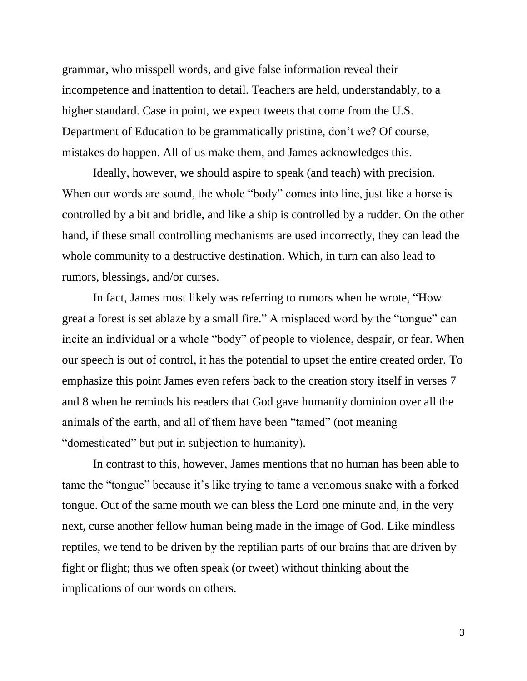grammar, who misspell words, and give false information reveal their incompetence and inattention to detail. Teachers are held, understandably, to a higher standard. Case in point, we expect tweets that come from the U.S. Department of Education to be grammatically pristine, don't we? Of course, mistakes do happen. All of us make them, and James acknowledges this.

Ideally, however, we should aspire to speak (and teach) with precision. When our words are sound, the whole "body" comes into line, just like a horse is controlled by a bit and bridle, and like a ship is controlled by a rudder. On the other hand, if these small controlling mechanisms are used incorrectly, they can lead the whole community to a destructive destination. Which, in turn can also lead to rumors, blessings, and/or curses.

In fact, James most likely was referring to rumors when he wrote, "How great a forest is set ablaze by a small fire." A misplaced word by the "tongue" can incite an individual or a whole "body" of people to violence, despair, or fear. When our speech is out of control, it has the potential to upset the entire created order. To emphasize this point James even refers back to the creation story itself in verses 7 and 8 when he reminds his readers that God gave humanity dominion over all the animals of the earth, and all of them have been "tamed" (not meaning "domesticated" but put in subjection to humanity).

In contrast to this, however, James mentions that no human has been able to tame the "tongue" because it's like trying to tame a venomous snake with a forked tongue. Out of the same mouth we can bless the Lord one minute and, in the very next, curse another fellow human being made in the image of God. Like mindless reptiles, we tend to be driven by the reptilian parts of our brains that are driven by fight or flight; thus we often speak (or tweet) without thinking about the implications of our words on others.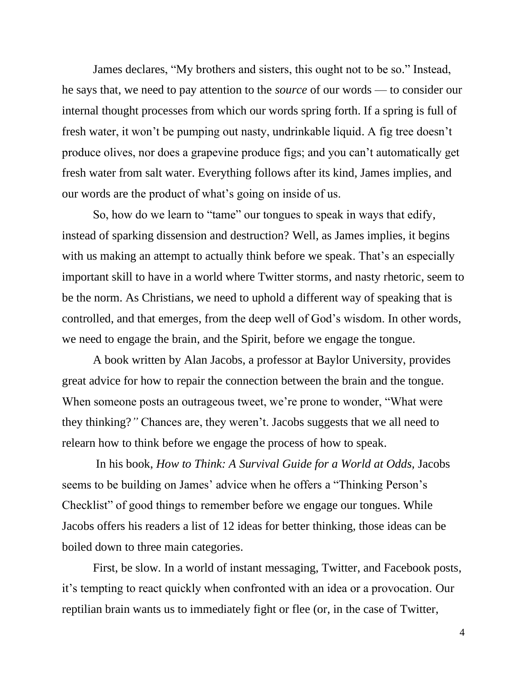James declares, "My brothers and sisters, this ought not to be so." Instead, he says that, we need to pay attention to the *source* of our words — to consider our internal thought processes from which our words spring forth. If a spring is full of fresh water, it won't be pumping out nasty, undrinkable liquid. A fig tree doesn't produce olives, nor does a grapevine produce figs; and you can't automatically get fresh water from salt water. Everything follows after its kind, James implies, and our words are the product of what's going on inside of us.

So, how do we learn to "tame" our tongues to speak in ways that edify, instead of sparking dissension and destruction? Well, as James implies, it begins with us making an attempt to actually think before we speak. That's an especially important skill to have in a world where Twitter storms, and nasty rhetoric, seem to be the norm. As Christians, we need to uphold a different way of speaking that is controlled, and that emerges, from the deep well of God's wisdom. In other words, we need to engage the brain, and the Spirit, before we engage the tongue.

A book written by Alan Jacobs, a professor at Baylor University, provides great advice for how to repair the connection between the brain and the tongue. When someone posts an outrageous tweet, we're prone to wonder, "What were" they thinking?*"* Chances are, they weren't. Jacobs suggests that we all need to relearn how to think before we engage the process of how to speak.

In his book, *How to Think: A Survival Guide for a World at Odds,* Jacobs seems to be building on James' advice when he offers a "Thinking Person's Checklist" of good things to remember before we engage our tongues. While Jacobs offers his readers a list of 12 ideas for better thinking, those ideas can be boiled down to three main categories.

First, be slow*.* In a world of instant messaging, Twitter, and Facebook posts, it's tempting to react quickly when confronted with an idea or a provocation. Our reptilian brain wants us to immediately fight or flee (or, in the case of Twitter,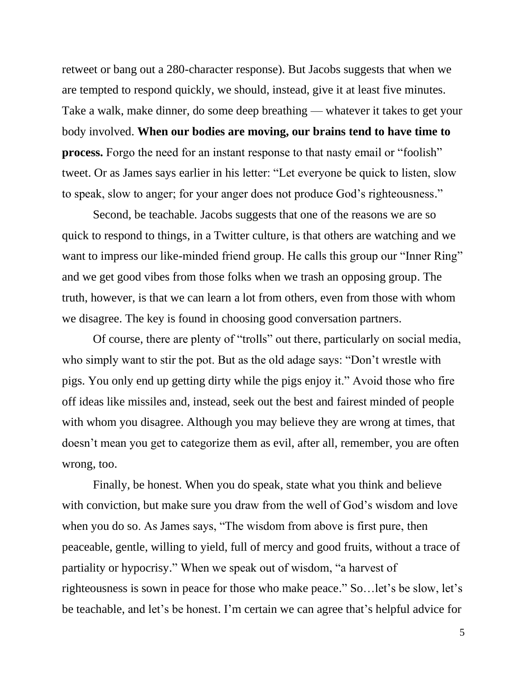retweet or bang out a 280-character response). But Jacobs suggests that when we are tempted to respond quickly, we should, instead, give it at least five minutes. Take a walk, make dinner, do some deep breathing — whatever it takes to get your body involved. **When our bodies are moving, our brains tend to have time to process.** Forgo the need for an instant response to that nasty email or "foolish" tweet. Or as James says earlier in his letter: "Let everyone be quick to listen, slow to speak, slow to anger; for your anger does not produce God's righteousness."

Second, be teachable*.* Jacobs suggests that one of the reasons we are so quick to respond to things, in a Twitter culture, is that others are watching and we want to impress our like-minded friend group. He calls this group our "Inner Ring" and we get good vibes from those folks when we trash an opposing group. The truth, however, is that we can learn a lot from others, even from those with whom we disagree. The key is found in choosing good conversation partners.

Of course, there are plenty of "trolls" out there, particularly on social media, who simply want to stir the pot. But as the old adage says: "Don't wrestle with pigs. You only end up getting dirty while the pigs enjoy it." Avoid those who fire off ideas like missiles and, instead, seek out the best and fairest minded of people with whom you disagree. Although you may believe they are wrong at times, that doesn't mean you get to categorize them as evil, after all, remember, you are often wrong, too.

Finally, be honest. When you do speak, state what you think and believe with conviction, but make sure you draw from the well of God's wisdom and love when you do so. As James says, "The wisdom from above is first pure, then peaceable, gentle, willing to yield, full of mercy and good fruits, without a trace of partiality or hypocrisy." When we speak out of wisdom, "a harvest of righteousness is sown in peace for those who make peace." So…let's be slow, let's be teachable, and let's be honest. I'm certain we can agree that's helpful advice for